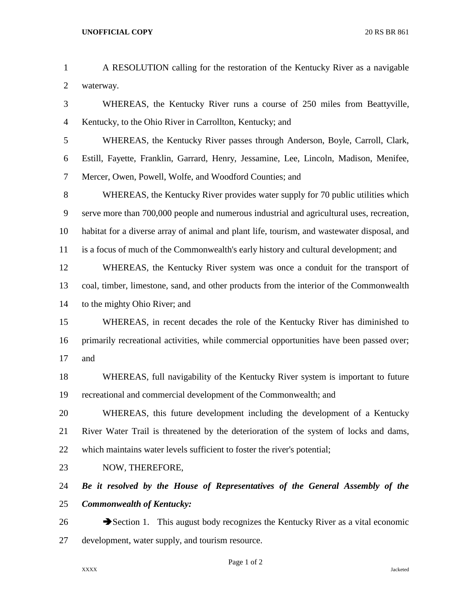## **UNOFFICIAL COPY** 20 RS BR 861

| 2              | waterway.                                                                                           |
|----------------|-----------------------------------------------------------------------------------------------------|
| 3              | WHEREAS, the Kentucky River runs a course of 250 miles from Beattyville,                            |
| $\overline{4}$ | Kentucky, to the Ohio River in Carrollton, Kentucky; and                                            |
| 5              | WHEREAS, the Kentucky River passes through Anderson, Boyle, Carroll, Clark,                         |
| 6              | Estill, Fayette, Franklin, Garrard, Henry, Jessamine, Lee, Lincoln, Madison, Menifee,               |
| $\overline{7}$ | Mercer, Owen, Powell, Wolfe, and Woodford Counties; and                                             |
| 8              | WHEREAS, the Kentucky River provides water supply for 70 public utilities which                     |
| 9              | serve more than 700,000 people and numerous industrial and agricultural uses, recreation,           |
| 10             | habitat for a diverse array of animal and plant life, tourism, and wastewater disposal, and         |
| 11             | is a focus of much of the Commonwealth's early history and cultural development; and                |
| 12             | WHEREAS, the Kentucky River system was once a conduit for the transport of                          |
| 13             | coal, timber, limestone, sand, and other products from the interior of the Commonwealth             |
| 14             | to the mighty Ohio River; and                                                                       |
| 15             | WHEREAS, in recent decades the role of the Kentucky River has diminished to                         |
| 16             | primarily recreational activities, while commercial opportunities have been passed over;            |
| 17             | and                                                                                                 |
| 18             | WHEREAS, full navigability of the Kentucky River system is important to future                      |
| 19             | recreational and commercial development of the Commonwealth; and                                    |
| 20             | WHEREAS, this future development including the development of a Kentucky                            |
| 21             | River Water Trail is threatened by the deterioration of the system of locks and dams,               |
| 22             | which maintains water levels sufficient to foster the river's potential;                            |
| 23             | NOW, THEREFORE,                                                                                     |
| 24             | Be it resolved by the House of Representatives of the General Assembly of the                       |
| 25             | <b>Commonwealth of Kentucky:</b>                                                                    |
| 26             | $\blacktriangleright$ Section 1. This august body recognizes the Kentucky River as a vital economic |
| 27             | development, water supply, and tourism resource.                                                    |

A RESOLUTION calling for the restoration of the Kentucky River as a navigable

Page 1 of 2